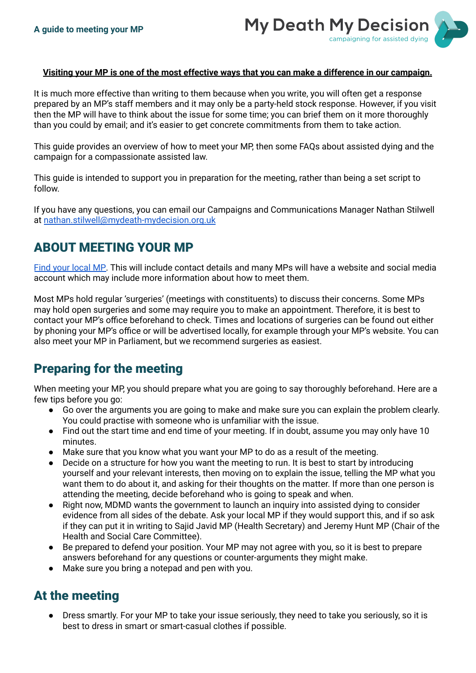

#### Visiting your MP is one of the most effective ways that you can make a difference in our campaign.

It is much more effective than writing to them because when you write, you will often get a response prepared by an MP's staff members and it may only be a party-held stock response. However, if you visit then the MP will have to think about the issue for some time; you can brief them on it more thoroughly than you could by email; and it's easier to get concrete commitments from them to take action.

This guide provides an overview of how to meet your MP, then some FAQs about assisted dying and the campaign for a compassionate assisted law.

This guide is intended to support you in preparation for the meeting, rather than being a set script to follow.

If you have any questions, you can email our Campaigns and Communications Manager Nathan Stilwell at [nathan.stilwell@mydeath-mydecision.org.uk](mailto:nathan.stilwell@mydeath-mydecision.org.uk)

# ABOUT MEETING YOUR MP

Find your [local](https://members.parliament.uk/FindYourMP) MP. This will include contact details and many MPs will have a website and social media account which may include more information about how to meet them.

Most MPs hold regular 'surgeries' (meetings with constituents) to discuss their concerns. Some MPs may hold open surgeries and some may require you to make an appointment. Therefore, it is best to contact your MP's office beforehand to check. Times and locations of surgeries can be found out either by phoning your MP's office or will be advertised locally, for example through your MP's website. You can also meet your MP in Parliament, but we recommend surgeries as easiest.

## Preparing for the meeting

When meeting your MP, you should prepare what you are going to say thoroughly beforehand. Here are a few tips before you go:

- Go over the arguments you are going to make and make sure you can explain the problem clearly. You could practise with someone who is unfamiliar with the issue.
- Find out the start time and end time of your meeting. If in doubt, assume you may only have 10 minutes.
- Make sure that you know what you want your MP to do as a result of the meeting.
- Decide on a structure for how you want the meeting to run. It is best to start by introducing yourself and your relevant interests, then moving on to explain the issue, telling the MP what you want them to do about it, and asking for their thoughts on the matter. If more than one person is attending the meeting, decide beforehand who is going to speak and when.
- Right now, MDMD wants the government to launch an inquiry into assisted dying to consider evidence from all sides of the debate. Ask your local MP if they would support this, and if so ask if they can put it in writing to Sajid Javid MP (Health Secretary) and Jeremy Hunt MP (Chair of the Health and Social Care Committee).
- Be prepared to defend your position. Your MP may not agree with you, so it is best to prepare answers beforehand for any questions or counter-arguments they might make.
- Make sure you bring a notepad and pen with you.

## At the meeting

Dress smartly. For your MP to take your issue seriously, they need to take you seriously, so it is best to dress in smart or smart-casual clothes if possible.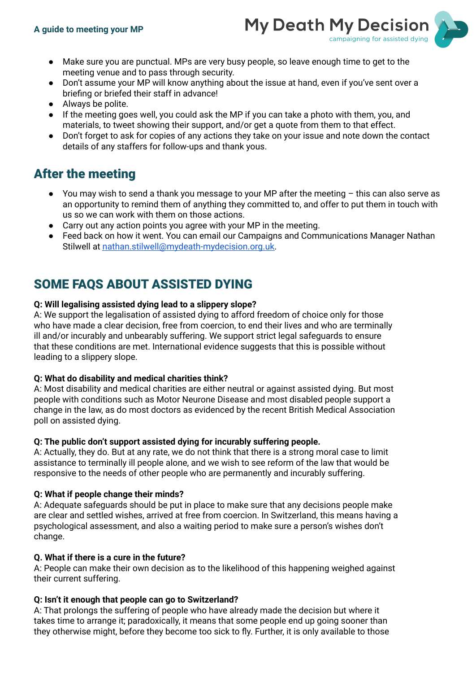

- Make sure you are punctual. MPs are very busy people, so leave enough time to get to the meeting venue and to pass through security.
- Don't assume your MP will know anything about the issue at hand, even if you've sent over a briefing or briefed their staff in advance!
- Always be polite.
- If the meeting goes well, you could ask the MP if you can take a photo with them, you, and materials, to tweet showing their support, and/or get a quote from them to that effect.
- Don't forget to ask for copies of any actions they take on your issue and note down the contact details of any staffers for follow-ups and thank yous.

## After the meeting

- You may wish to send a thank you message to your MP after the meeting this can also serve as an opportunity to remind them of anything they committed to, and offer to put them in touch with us so we can work with them on those actions.
- Carry out any action points you agree with your MP in the meeting.
- Feed back on how it went. You can email our Campaigns and Communications Manager Nathan Stilwell at [nathan.stilwell@mydeath-mydecision.org.uk.](mailto:nathan.stilwell@mydeath-mydecision.org.uk)

# SOME FAQS ABOUT ASSISTED DYING

### **Q: Will legalising assisted dying lead to a slippery slope?**

A: We support the legalisation of assisted dying to afford freedom of choice only for those who have made a clear decision, free from coercion, to end their lives and who are terminally ill and/or incurably and unbearably suffering. We support strict legal safeguards to ensure that these conditions are met. International evidence suggests that this is possible without leading to a slippery slope.

#### **Q: What do disability and medical charities think?**

A: Most disability and medical charities are either neutral or against assisted dying. But most people with conditions such as Motor Neurone Disease and most disabled people support a change in the law, as do most doctors as evidenced by the recent British Medical Association poll on assisted dying.

## **Q: The public don't support assisted dying for incurably suffering people.**

A: Actually, they do. But at any rate, we do not think that there is a strong moral case to limit assistance to terminally ill people alone, and we wish to see reform of the law that would be responsive to the needs of other people who are permanently and incurably suffering.

## **Q: What if people change their minds?**

A: Adequate safeguards should be put in place to make sure that any decisions people make are clear and settled wishes, arrived at free from coercion. In Switzerland, this means having a psychological assessment, and also a waiting period to make sure a person's wishes don't change.

## **Q. What if there is a cure in the future?**

A: People can make their own decision as to the likelihood of this happening weighed against their current suffering.

## **Q: Isn't it enough that people can go to Switzerland?**

A: That prolongs the suffering of people who have already made the decision but where it takes time to arrange it; paradoxically, it means that some people end up going sooner than they otherwise might, before they become too sick to fly. Further, it is only available to those